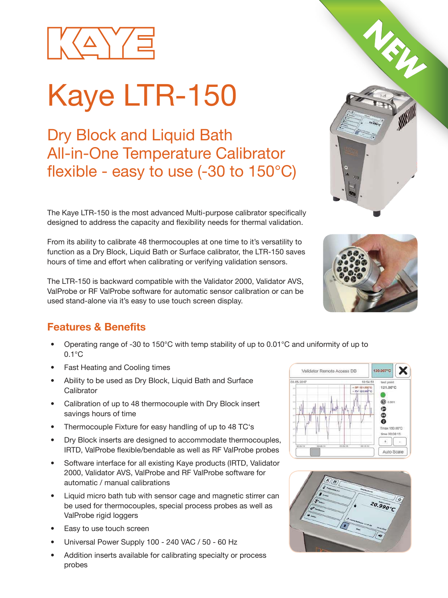

# Kaye LTR-150

Dry Block and Liquid Bath All-in-One Temperature Calibrator flexible - easy to use  $(-30 \text{ to } 150^{\circ} \text{C})$ 

The Kaye LTR-150 is the most advanced Multi-purpose calibrator specifically designed to address the capacity and flexibility needs for thermal validation.

From its ability to calibrate 48 thermocouples at one time to it's versatility to function as a Dry Block, Liquid Bath or Surface calibrator, the LTR-150 saves hours of time and effort when calibrating or verifying validation sensors.

The LTR-150 is backward compatible with the Validator 2000, Validator AVS, ValProbe or RF ValProbe software for automatic sensor calibration or can be used stand-alone via it's easy to use touch screen display.

#### **Features & Benefits**

- Operating range of -30 to 150°C with temp stability of up to 0.01°C and uniformity of up to 0.1°C
- Fast Heating and Cooling times
- Ability to be used as Dry Block, Liquid Bath and Surface **Calibrator**
- Calibration of up to 48 thermocouple with Dry Block insert savings hours of time
- Thermocouple Fixture for easy handling of up to 48 TC's
- Dry Block inserts are designed to accommodate thermocouples, IRTD, ValProbe flexible/bendable as well as RF ValProbe probes
- Software interface for all existing Kaye products (IRTD, Validator 2000, Validator AVS, ValProbe and RF ValProbe software for automatic / manual calibrations
- Liquid micro bath tub with sensor cage and magnetic stirrer can be used for thermocouples, special process probes as well as ValProbe rigid loggers
- Easy to use touch screen
- Universal Power Supply 100 240 VAC / 50 60 Hz
- Addition inserts available for calibrating specialty or process probes







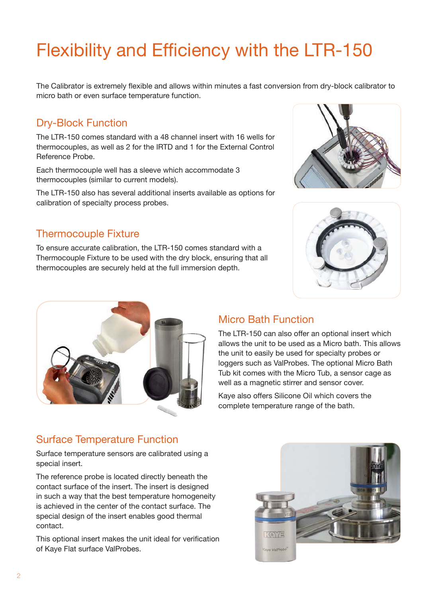### Flexibility and Efficiency with the LTR-150

The Calibrator is extremely flexible and allows within minutes a fast conversion from dry-block calibrator to micro bath or even surface temperature function.

#### Dry-Block Function

The LTR-150 comes standard with a 48 channel insert with 16 wells for thermocouples, as well as 2 for the IRTD and 1 for the External Control Reference Probe.

Each thermocouple well has a sleeve which accommodate 3 thermocouples (similar to current models).

The LTR-150 also has several additional inserts available as options for calibration of specialty process probes.

#### Thermocouple Fixture

To ensure accurate calibration, the LTR-150 comes standard with a Thermocouple Fixture to be used with the dry block, ensuring that all thermocouples are securely held at the full immersion depth.







#### Micro Bath Function

The LTR-150 can also offer an optional insert which allows the unit to be used as a Micro bath. This allows the unit to easily be used for specialty probes or loggers such as ValProbes. The optional Micro Bath Tub kit comes with the Micro Tub, a sensor cage as well as a magnetic stirrer and sensor cover.

Kaye also offers Silicone Oil which covers the complete temperature range of the bath.

#### Surface Temperature Function

Surface temperature sensors are calibrated using a special insert.

The reference probe is located directly beneath the contact surface of the insert. The insert is designed in such a way that the best temperature homogeneity is achieved in the center of the contact surface. The special design of the insert enables good thermal contact.

This optional insert makes the unit ideal for verification of Kaye Flat surface ValProbes.

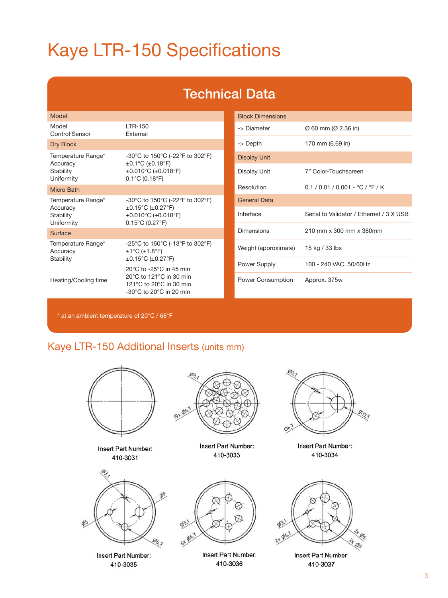## Kaye LTR-150 Specifications

### Technical Data

| Model                                                     |                                                                                                                                                                           |
|-----------------------------------------------------------|---------------------------------------------------------------------------------------------------------------------------------------------------------------------------|
| Model<br><b>Control Sensor</b>                            | ITR-150<br><b>Fxternal</b>                                                                                                                                                |
| Dry Block                                                 |                                                                                                                                                                           |
| Temperature Range*<br>Accuracy<br>Stability<br>Uniformity | -30°C to 150°C (-22°F to 302°F)<br>$\pm$ 0.1°C ( $\pm$ 0.18°F)<br>$\pm 0.010^{\circ}$ C ( $\pm 0.018^{\circ}$ F)<br>$0.1^{\circ}$ C (0.18 $^{\circ}$ F)                   |
| Micro Bath                                                |                                                                                                                                                                           |
| Temperature Range*<br>Accuracy<br>Stability<br>Uniformity | -30°C to 150°C (-22°F to 302°F)<br>$\pm 0.15^{\circ}$ C ( $\pm 0.27^{\circ}$ F)<br>$\pm 0.010^{\circ}$ C ( $\pm 0.018^{\circ}$ F)<br>$0.15^{\circ}$ C (0.27 $^{\circ}$ F) |
| Surface                                                   |                                                                                                                                                                           |
| Temperature Range*<br>Accuracy<br>Stability               | -25°C to 150°C (-13°F to 302°F)<br>$\pm$ 1°C ( $\pm$ 1.8°F)<br>$\pm 0.15^{\circ}$ C ( $\pm 0.27^{\circ}$ F)                                                               |
| Heating/Cooling time                                      | 20°C to -25°C in 45 min<br>20°C to 121°C in 30 min<br>121 $\degree$ C to 20 $\degree$ C in 30 min<br>$-30^{\circ}$ C to 20 $^{\circ}$ C in 20 min                         |

| <b>Block Dimensions</b> |                                          |
|-------------------------|------------------------------------------|
| -> Diameter             | Ø 60 mm (Ø 2.36 in)                      |
| -> Depth                | 170 mm (6.69 in)                         |
| <b>Display Unit</b>     |                                          |
| Display Unit            | 7" Color-Touchscreen                     |
| Resolution              | $0.1 / 0.01 / 0.001 - °C / °F / K$       |
| <b>General Data</b>     |                                          |
| Interface               | Serial to Validator / Ethernet / 3 X USB |
| Dimensions              | 210 mm x 300 mm x 380mm                  |
| Weight (approximate)    | 15 kg / 33 lbs                           |
| Power Supply            | 100 - 240 VAC, 50/60Hz                   |
| Power Consumption       | Approx. 375w                             |

\* at an ambient temperature of 20°C / 68°F

#### Kaye LTR-150 Additional Inserts (units mm)